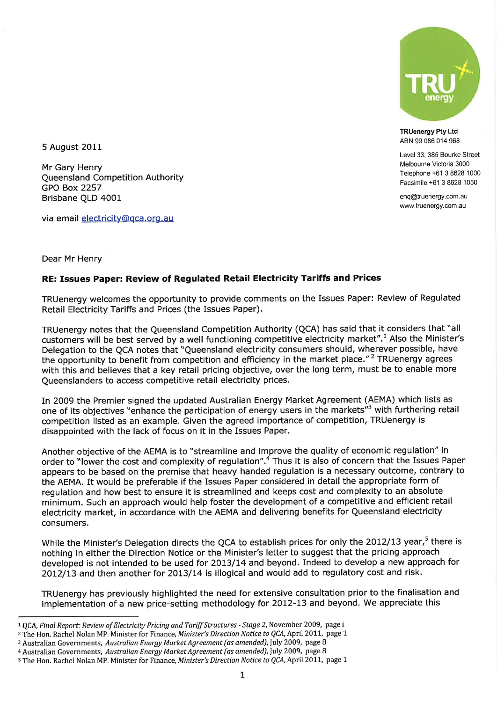

TRUenergy Pty Ltd ABN 99 086 014 968

Level 33, 385 Bourke Street Melbourne Victoria 3000 Telephone +61 3 8628 1000 Facsimile +61 3 8628 1050

enq@truenergy com.au www.truenergy.com.au

5 August 2011

Mr Gary Henry Queensland Competition Authority GPO Box 2257 Brisbane QLD 4001

via email electricity@qca.org.au

#### Dear Mr Henry

#### RE: Issues Paper: Review of Regulated Retail Electricity Tariffs and Prices

TRUenergy welcomes the opportunity to provide comments on the Issues Paper: Review of Regulated Retail Electricity Tariffs and Prices (the Issues Paper).

TRUenergy notes that the Queensland Competition Authority (QCA) has said that it considers that "all customers will be best served by a well functioning competitive electricity market".<sup>1</sup> Also the Minister's Delegation to the QCA notes that "Queensland electricity consumers should, wherever possible, have the opportunity to benefit from competition and efficiency in the market place."<sup>2</sup> TRUenergy agrees with this and believes that a key retail pricing objective, over the long term, must be to enable more Queenslanders to access competitive retail electricity prices.

In 2009 the Premier signed the updated Australian Energy Market Agreement (AEMA) which lists as one of its objectives "enhance the participation of energy users in the markets"<sup>3</sup> with furthering retail competition listed as an example. Given the agreed importance of competition, TRUenergy is disappointed with the lack of focus on it in the Issues Paper.

Another objective of the AEMA is to "streamline and improve the quality of economic regulation" in order to "lower the cost and complexity of regulation".<sup>4</sup> Thus it is also of concern that the Issues Paper appears to be based on the premise that heavy handed regulation is a necessary outcome, contrary to the AEMA. It would be preferable if the Issues Paper considered in detail the appropriate form of regulation and how best to ensure it is streamlined and keeps cost and complexity to an absolute minimum. Such an approach would help foster the development of a competitive and efficient retail electricity market, in accordance with the AEMA and delivering benefits for Queensland electricity consumers,

While the Minister's Delegation directs the QCA to establish prices for only the 2012/13 year,<sup>5</sup> there is nothing in either the Direction Notice or the Minister's letter to suggest that the pricing approach developed is not intended to be used for 2013/14 and beyond. Indeed to develop a new approach for 2012/13 and then another for 2013/14 is illogical and would add to regulatory cost and risk.

TRUenergy has previously highlighted the need for extensive consultation prior to the finalisation and implementation of a new price-setting methodology for 2012-13 and beyond. We appreciate this

<sup>&</sup>lt;sup>1</sup> QCA, Final Report: Review of Electricity Pricing and Tariff Structures - Stage 2, November 2009, page i

<sup>&</sup>lt;sup>2</sup> The Hon. Rachel Nolan MP. Minister for Finance, Minister's Direction Notice to QCA, April 2011, page 1

<sup>3</sup> Australian Governments, Australian Energy Market Agreement (as amended), July 2009, page 8

<sup>4</sup> Australian Governments, Australian Energy Market Agreement (as amended), July 2009, page 8

<sup>&</sup>lt;sup>5</sup> The Hon. Rachel Nolan MP. Minister for Finance, Minister's Direction Notice to QCA, April 2011, page 1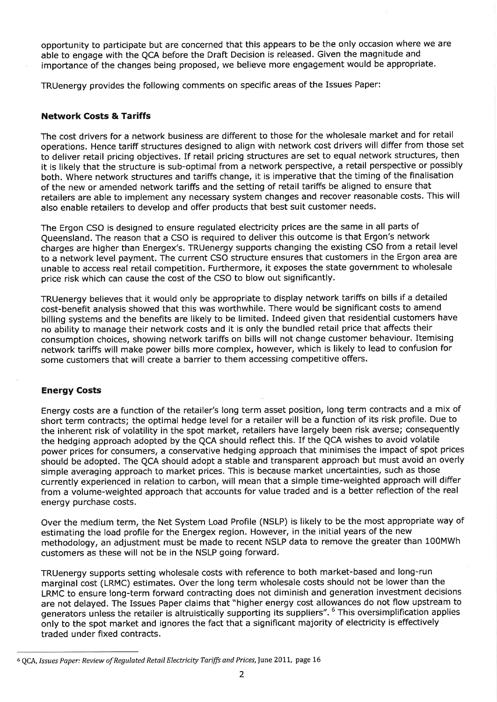opportunity to participate but are concerned that this appears to be the only occasion where we are able to engage with the QCA before the Draft Decision is released. Given the magnitude and importance of the changes being proposed, we believe more engagement would be appropriate.

TRUenergy provides the following comments on specific areas of the Issues Paper:

# Network Costs & Tariffs

The cost drivers for a network business are different to those for the wholesale market and for retail operations. Hence tariff structures designed to align with network cost drivers will differ from those set to deliver retail pricing objectives, If retail pricing structures are set to equal network structures, then it is likely that the structure is sub-optimal from a network perspective, a retail perspective or possibly both, Where network structures and tariffs change, it is imperative that the timing of the finalisation of the new or amended network tariffs and the setting of retail tariffs be aligned to ensure that retailers are able to implement any necessary system changes and recover reasonable costs. This will also enable retailers to develop and offer products that best suit customer needs,

The Ergon CSO is designed to ensure regulated electricity prices are the same in all parts of Queensland. The reason that a CSO is required to deliver this outcome is that Ergon's network charges are higher than Energex's. TRUenergy supports changing the existing CSO from a retail level to a network level payment. The current CSO structure ensures that customers in the Ergon area are unable to access real retail competition. Furthermore, it exposes the state government to wholesale price risk which can cause the cost of the CSO to blow out significantly.

TRUenergy believes that it would only be appropriate to display network tariffs on bills if a detailed cost-benefit analysis showed that this was worthwhile. There would be significant costs to amend billing systems and the benefits are likely to be limited, Indeed given that residential customers have no ability to manage their network costs and it is only the bundled retail price that affects their consumption choices, showing network tariffs on bills will not change customer behaviour. Itemising network tariffs will make power bills more complex, however, which is likely to lead to confusion for some customers that will create a barrier to them accessing competitive offers.

# Energy Costs

Energy costs are a function of the retailer's long term asset position, long term contracts and a mix of short term contracts; the optimal hedge level for a retailer will be a function of its risk profile. Due to the inherent risk of volatility in the spot market, retailers have largely been risk averse; consequently the hedging approach adopted by the QCA should reflect this. If the QCA wishes to avoid volatile power prices for consumers, a conservative hedging approach that minimises the impact of spot prices should be adopted. The QCA should adopt a stable and transparent approach but must avoid an overly simple averaging approach to market prices. This is because market uncertainties, such as those currently experienced in relation to carbon, will mean that a simple time-weighted approach will differ from a volume-weighted approach that accounts for value traded and is a better reflection of the real energy purchase costs.

Over the medium term, the Net System Load Profile (NSLP) is likely to be the most appropriate way of estimating the load profile for the Energex region. However, in the initial years of the new methodology, an adjustment must be made to recent NSLP data to remove the greater than 100MWh customers as these will not be in the NSLP going forward.

TRUenergy supports setting wholesale costs with reference to both market-based and long-run marginal cost (LRMC) estimates. Over the long term wholesale costs should not be lower than the LRMC to ensure long-term forward contracting does not diminish and generation investment decisions are not delayed, The Issues Paper claims that "higher energy cost allowances do not flow upstream to generators unless the retailer is altruistically supporting its suppliers". <sup>6</sup>This oversimplification applies only to the spot market and ignores the fact that a significant majority of electricity is effectively traded under fixed contracts.

<sup>&</sup>lt;sup>6</sup> QCA, Issues Paper: Review of Regulated Retail Electricity Tariffs and Prices, June 2011, page 16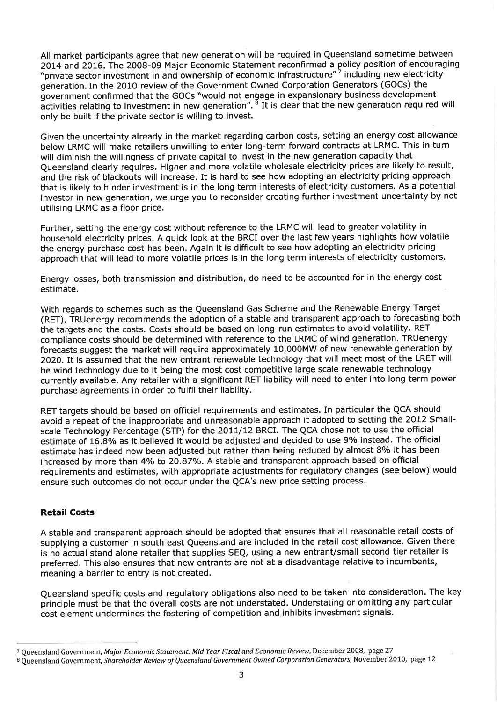All market participants agree that new generation will be required in Queensland sometime between 2014 and 2016. The 2008-09 Major Economic Statement reconfirmed a policy position of encouraging "private sector investment in and ownership of economic infrastructure" including new electricity generation. In the 2010 review of the Government Owned Corporation Generators (GOCs) the government confirmed that the GOCs "would not engage in expansionary business development activities relating to investment in new generation".  $^{\overline{8}}$  It is clear that the new generation required will only be built if the private sector is willing to invest.

Given the uncertainty already in the market regarding carbon costs, setting an energy cost allowance below LRMC will make retailers unwilling to enter long-term forward contracts at LRMC. This in turn will diminish the willingness of private capital to invest in the new generation capacity that Queensland clearly requires. Higher and more volatile wholesale electricity prices are likely to result, and the risk of blackouts will increase. It is hard to see how adopting an electricity pricing approach that is likely to hinder investment is in the long term interests of electricity customers, As a potential investor in new generation, we urge you to reconsider creating further investment uncertainty by not utilising LRMC as a floor price.

Further, setting the energy cost without reference to the LRMC will lead to greater volatility in household electricity prices. A quick look at the BRCI over the last few years highlights how volatile the energy purchase cost has been, Again it is difficult to see how adopting an electricity pricing approach that will lead to more volatile prices is in the long term interests of electricity customers.

Energy losses, both transmission and distribution, do need to be accounted for in the energy cost estimate.

With regards to schemes such as the Queensland Gas Scheme and the Renewable Energy Target (RET), TRUenergy recommends the adoption of a stable and transparent approach to forecasting both the targets and the costs. Costs should be based on long-run estimates to avoid volatility. RET compliance costs should be determined with reference to the LRMC of wind generation. TRUenergy forecasts suggest the market will require approximately 10,000MW of new renewable generation by 2O2O.It is assumed that the new entrant renewable technology that will meet most of the LRET will be wind technology due to it being the most cost competitive large scale renewable technology currently available. Any retailer with a significant RET liability will need to enter into long term power purchase agreements in order to fulfil their liability.

RET targets should be based on official requirements and estimates. In particular the QCA should avoid a repeat of the inappropriate and unreasonable approach it adopted to setting the 2012 Smallscale Technology Percentage (STP) for the 2011/12 BRCI. The QCA chose not to use the official estimate of 16.8% as it believed it would be adjusted and decided to use 9% instead. The official estimate has indeed now been adjusted but rather than being reduced by almost 8% it has been increased by more than 4% to 20.87%. A stable and transparent approach based on official requirements and estimates, with appropriate adjustments for regulatory changes (see below) would ensure such outcomes do not occur under the QCA's new price setting process.

# Retail Costs

A stable and transparent approach should be adopted that ensures that all reasonable retail costs of supplying a customer in south east Queensland are included in the retail cost allowance. Given there is no actual stand alone retailer that supplies SEQ, using a new entrant/small second tier retailer is preferred. This also ensures that new entrants are not at a disadvantage relative to incumbents, meaning a barrier to entry is not created,

Queensland specific costs and regulatory obligations also need to be taken into consideration. The key principle must be that the overall costs are not understated. Understating or omitting any particular cost element undermines the fostering of competition and inhibits investment signals,

<sup>7</sup> Queensland Government, Major Economic Statement: Mid Year Fiscal and Economic Review, December 2008, page 27

<sup>&</sup>lt;sup>8</sup> Queensland Government, Shareholder Review of Queensland Government Owned Corporation Generators, November 2010, page 12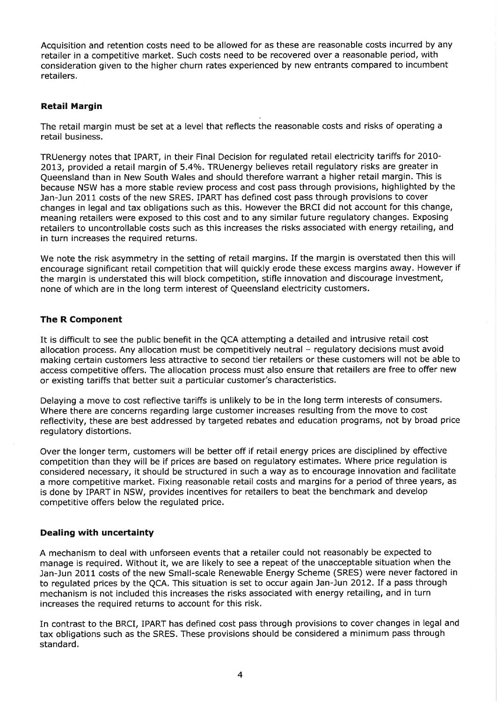Acquisition and retention costs need to be allowed for as these are reasonable costs incurred by any retailer in a competitive market. Such costs need to be recovered over a reasonable period, with consideration given to the higher churn rates experienced by new entrants compared to incumbent retailers.

### Retail Margin

The retail margin must be set at a level that reflects the reasonable costs and risks of operating a retail business.

TRUenergy notes that IPART, in their Final Decision for regulated retail electricity tariffs for 2010- 2013, provided a retail margin of 5.4%. TRUenergy believes retail regulatory risks are greater in Queensland than in New South Wales and should therefore warrant a higher retail margin. This is because NSW has a more stable review process and cost pass through provisions, highlighted by the Jan-Jun 2011 costs of the new SRES. IPART has defined cost pass through provisions to cover changes in legal and tax obligations such as this, However the BRCI did not account for this change, meaning retailers were exposed to this cost and to any similar future regulatory changes. Exposing retailers to uncontrollable costs such as this increases the risks associated with energy retailing, and in turn increases the required returns.

We note the risk asymmetry in the setting of retail margins. If the margin is overstated then this will encourage significant retail competition that will quickly erode these excess margins away, However if the margin is understated this will block competition, stifle innovation and discourage investment, none of which are in the long term interest of Queensland electricity customers.

### The R Component

It is difficult to see the public benefit in the QCA attempting a detailed and intrusive retail cost allocation process. Any allocation must be competitively neutral - regulatory decisions must avoid making certain customers less attractive to second tier retailers or these customers will not be able to access competitive offers. The allocation process must also ensure that retailers are free to offer new or existing tariffs that better suit a particular customer's characteristics,

Delaying a move to cost reflective tariffs is unlikely to be in the long term interests of consumers. Where there are concerns regarding large customer increases resulting from the move to cost reflectivity, these are best addressed by targeted rebates and education programs, not by broad price regulatory distortions.

Over the longer term, customers will be better off if retail energy prices are disciplined by effective competition than they will be if prices are based on regulatory estimates. Where price regulation is considered necessary, it should be structured in such a way as to encourage innovation and facilitate a more competitive market. Fixing reasonable retail costs and margins for a period of three years, as is done by IPART in NSW, provides incentives for retailers to beat the benchmark and develop competitive offers below the regulated price.

#### Dealing with uncertainty

A mechanism to deal with unforseen events that a retailer could not reasonably be expected to manage is required. Without it, we are likely to see a repeat of the unacceptable situation when the Jan-Jun 2011 costs of the new Small-scale Renewable Energy Scheme (SRES) were never factored in to regulated prices by the QCA, This situation is set to occur again Jan-Jun 2012. If a pass through mechanism is not included this increases the risks associated with energy retailing, and in turn increases the required returns to account for this risk,

In contrast to the BRCI, IPART has defined cost pass through provisions to cover changes in legal and tax obligations such as the SRES. These provisions should be considered a minimum pass through standard.